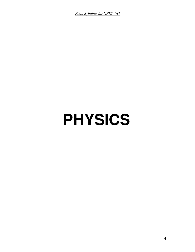*Final Syllabus for NEET-UG*

# **PHYSICS**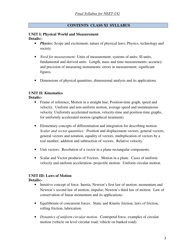## **CONTENTS CLASS XI SYLLABUS**

#### **UNIT I: Physical World and Measurement Details:-**

- *Physics:* Scope and excitement; nature of physical laws; Physics, technology and society.
- *Need for measurement:* Units of measurement; systems of units; SI units, fundamental and derived units. Length, mass and time measurements; accuracy and precision of measuring instruments; errors in measurement; significant figures.
- Dimensions of physical quantities, dimensional analysis and its applications.

# **UNIT II: Kinematics**

#### **Details:-**

- Frame of reference, Motion in a straight line; Position-time graph, speed and velocity. Uniform and non-uniform motion, average speed and instantaneous velocity. Uniformly accelerated motion, velocity-time and position-time graphs, for uniformly accelerated motion (graphical treatment).
- Elementary concepts of differentiation and integration for describing motion. *Scalar and vector quantities:* Position and displacement vectors, general vectors, general vectors and notation, equality of vectors, multiplication of vectors by a real number; addition and subtraction of vectors. Relative velocity.
- Unit vectors. Resolution of a vector in a plane-rectangular components.
- Scalar and Vector products of Vectors. Motion in a plane. Cases of uniform velocity and uniform acceleration- projectile motion. Uniform circular motion.

# **UNIT III: Laws of Motion**

- Intuitive concept of force. Inertia, Newton's first law of motion; momentum and Newton's second law of motion; impulse; Newton's third law of motion. Law of conservation of linear momentum and its applications.
- Equilibrium of concurrent forces. Static and Kinetic friction, laws of friction, rolling friction, lubrication.
- *Dynamics of uniform circular motion.* Centripetal force, examples of circular motion (vehicle on level circular road, vehicle on banked road).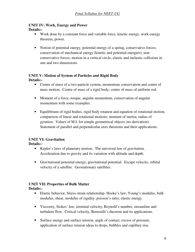## **UNIT IV: Work, Energy and Power Details:-**

- Work done by a constant force and variable force; kinetic energy, work-energy theorem, power.
- Notion of potential energy, potential energy of a spring, conservative forces; conservation of mechanical energy (kinetic and potential energies); nonconservative forces; motion in a vertical circle, elastic and inelastic collisions in one and two dimensions.

#### **UNIT V: Motion of System of Particles and Rigid Body Details:-**

- Centre of mass of a two-particle system, momentum conservation and centre of mass motion. Centre of mass of a rigid body; centre of mass of uniform rod.
- Moment of a force,-torque, angular momentum, conservation of angular momentum with some examples.
- Equilibrium of rigid bodies, rigid body rotation and equation of rotational motion, comparison of linear and rotational motions; moment of inertia, radius of gyration. Values of M.I. for simple geometrical objects (no derivation). Statement of parallel and perpendicular axes theorems and their applications.

# **UNIT VI: Gravitation**

## **Details:-**

- Kepler's laws of planetary motion. The universal law of gravitation. Acceleration due to gravity and its variation with altitude and depth.
- Gravitational potential energy; gravitational potential. Escape velocity, orbital velocity of a satellite. Geostationary satellites.

# **UNIT VII: Properties of Bulk Matter**

- Elastic behavior, Stress-strain relationship. Hooke's law, Young's modulus, bulk modulus, shear, modulus of rigidity, poisson's ratio; elastic energy.
- Viscosity, Stokes' law, terminal velocity, Reynold's number, streamline and turbulent flow. Critical velocity, Bernoulli's theorem and its applications.
- Surface energy and surface tension, angle of contact, excess of pressure, application of surface tension ideas to drops, bubbles and capillary rise.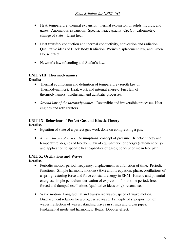- Heat, temperature, thermal expansion; thermal expansion of solids, liquids, and gases. Anomalous expansion. Specific heat capacity: Cp, Cv- calorimetry; change of state – latent heat.
- Heat transfer- conduction and thermal conductivity, convection and radiation. Qualitative ideas of Black Body Radiation, Wein's displacement law, and Green House effect.
- Newton's law of cooling and Stefan's law.

# **UNIT VIII: Thermodynamics**

**Details:-** 

- Thermal equilibrium and definition of temperature (zeroth law of Thermodynamics). Heat, work and internal energy. First law of thermodynamics. Isothermal and adiabatic processes.
- *Second law of the thermodynamics:* Reversible and irreversible processes. Heat engines and refrigerators.

# **UNIT IX: Behaviour of Perfect Gas and Kinetic Theory**

**Details:-** 

- Equation of state of a perfect gas, work done on compressing a gas.
- *Kinetic theory of gases:* Assumptions, concept of pressure. Kinetic energy and temperature; degrees of freedom, law of equipartition of energy (statement only) and application to specific heat capacities of gases; concept of mean free path.

#### **UNIT X: Oscillations and Waves Details:-**

- Periodic motion-period, frequency, displacement as a function of time. Periodic functions. Simple harmonic motion(SHM) and its equation; phase; oscillations of a spring-restoring force and force constant; energy in SHM –Kinetic and potential energies; simple pendulum-derivation of expression for its time period; free, forced and damped oscillations (qualitative ideas only), resonance.
- Wave motion. Longitudinal and transverse waves, speed of wave motion. Displacement relation for a progressive wave. Principle of superposition of waves, reflection of waves, standing waves in strings and organ pipes, fundamental mode and harmonics. Beats. Doppler effect.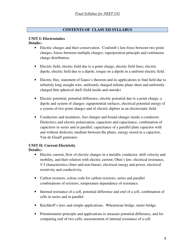# **CONTENTS OF CLASS XII SYLLABUS**

#### **UNIT I: Electrostatics Details:-**

- Electric charges and their conservation. Coulomb's law-force between two point charges, forces between multiple charges; superposition principle and continuous charge distribution.
- Electric field, electric field due to a point charge, electric field lines; electric dipole, electric field due to a dipole; torque on a dipole in a uniform electric field.
- Electric flux, statement of Gauss's theorem and its applications to find field due to infinitely long straight wire, uniformly charged infinite plane sheet and uniformly charged thin spherical shell (field inside and outside)
- Electric potential, potential difference, electric potential due to a point charge, a dipole and system of charges: equipotential surfaces, electrical potential energy of a system of two point charges and of electric diploes in an electrostatic field.
- Conductors and insulators, free charges and bound charges inside a conductor. Dielectrics and electric polarization, capacitors and capacitance, combination of capacitors in series and in parallel, capacitance of a parallel plate capacitor with and without dielectric medium between the plates, energy stored in a capacitor, Van de Graaff generator.

#### **UNIT II: Current Electricity Details:-**

- Electric current, flow of electric charges in a metallic conductor, drift velocity and mobility, and their relation with electric current; Ohm's law, electrical resistance, *V-I* characteristics (liner and non-linear), electrical energy and power, electrical resistivity and conductivity.
- Carbon resistors, colour code for carbon resistors; series and parallel combinations of resistors; temperature dependence of resistance.
- Internal resistance of a cell, potential difference and emf of a cell, combination of cells in series and in parallel.
- Kirchhoff's laws and simple applications. Wheatstone bridge, metre bridge.
- Potentiometer-principle and applications to measure potential difference, and for comparing emf of two cells; measurement of internal resistance of a cell.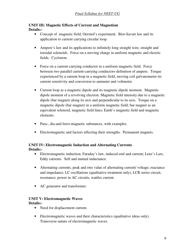## **UNIT III: Magnetic Effects of Current and Magnetism Details:-**

- Concept of magnetic field, Oersted's experiment. Biot-Savart law and its application to current carrying circular loop.
- Ampere's law and its applications to infinitely long straight wire, straight and toroidal solenoids. Force on a moving charge in uniform magnetic and electric fields. Cyclotron.
- Force on a current-carrying conductor in a uniform magnetic field. Force between two parallel current-carrying conductors-definition of ampere. Torque experienced by a current loop in a magnetic field; moving coil galvanometer-its current sensitivity and conversion to ammeter and voltmeter.
- Current loop as a magnetic dipole and its magnetic dipole moment. Magnetic dipole moment of a revolving electron. Magnetic field intensity due to a magnetic dipole (bar magnet) along its axis and perpendicular to its axis. Torque on a magnetic dipole (bar magnet) in a uniform magnetic field; bar magnet as an equivalent solenoid, magnetic field lines; Earth's magnetic field and magnetic elements.
- Para-, dia-and ferro-magnetic substances, with examples.
- Electromagnetic and factors affecting their strengths. Permanent magnets.

#### **UNIT IV: Electromagnetic Induction and Alternating Currents Details:-**

- Electromagnetic induction; Faraday's law, induced emf and current; Lenz's Law, Eddy currents. Self and mutual inductance.
- Alternating currents, peak and rms value of alternating current/ voltage; reactance and impedance; LC oscillations (qualitative treatment only), LCR series circuit, resonance; power in AC circuits, wattles current.
- AC generator and transformer.

# **UNIT V: Electromagnetic Waves**

- Need for displacement current.
- Electromagnetic waves and their characteristics (qualitative ideas only). Transverse nature of electromagnetic waves.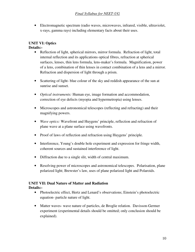• Electromagnetic spectrum (radio waves, microwaves, infrared, visible, ultraviolet, x-rays, gamma rays) including elementary facts about their uses.

#### **UNIT VI: Optics Details:-**

- Reflection of light, spherical mirrors, mirror formula. Refraction of light, total internal reflection and its applications optical fibres, refraction at spherical surfaces, lenses, thin lens formula, lens-maker's formula. Magnification, power of a lens, combination of thin lenses in contact combination of a lens and a mirror. Refraction and dispersion of light through a prism.
- Scattering of light- blue colour of the sky and reddish appearance of the sun at sunrise and sunset.
- *Optical instruments:* Human eye, image formation and accommodation, correction of eye defects (myopia and hypermetropia) using lenses.
- Microscopes and astronomical telescopes (reflecting and refracting) and their magnifying powers.
- *Wave optics:* Wavefront and Huygens' principle, reflection and refraction of plane wave at a plane surface using wavefronts.
- Proof of laws of reflection and refraction using Huygens' principle.
- Interference, Young's double hole experiment and expression for fringe width, coherent sources and sustained interference of light.
- Diffraction due to a single slit, width of central maximum.
- Resolving power of microscopes and astronomical telescopes. Polarisation, plane polarized light; Brewster's law, uses of plane polarized light and Polaroids.

# **UNIT VII: Dual Nature of Matter and Radiation**

- Photoelectric effect, Hertz and Lenard's observations; Einstein's photoelectric equation- particle nature of light.
- Matter waves- wave nature of particles, de Broglie relation. Davisson-Germer experiment (experimental details should be omitted; only conclusion should be explained).